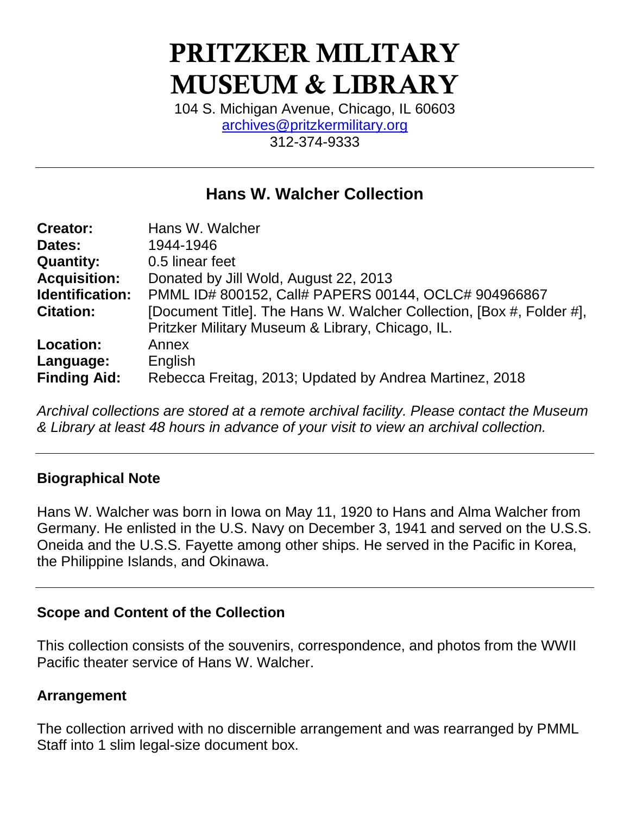# **PRITZKER MILITARY MUSEUM & LIBRARY**

104 S. Michigan Avenue, Chicago, IL 60603 [archives@pritzkermilitary.org](mailto:archives@pritzkermilitary.org) 312-374-9333

# **Hans W. Walcher Collection**

| <b>Creator:</b>     | Hans W. Walcher                                                      |
|---------------------|----------------------------------------------------------------------|
| Dates:              | 1944-1946                                                            |
| <b>Quantity:</b>    | 0.5 linear feet                                                      |
| <b>Acquisition:</b> | Donated by Jill Wold, August 22, 2013                                |
| Identification:     | PMML ID# 800152, Call# PAPERS 00144, OCLC# 904966867                 |
| <b>Citation:</b>    | [Document Title]. The Hans W. Walcher Collection, [Box #, Folder #], |
|                     | Pritzker Military Museum & Library, Chicago, IL.                     |
| Location:           | Annex                                                                |
| Language:           | English                                                              |
| <b>Finding Aid:</b> | Rebecca Freitag, 2013; Updated by Andrea Martinez, 2018              |

*Archival collections are stored at a remote archival facility. Please contact the Museum & Library at least 48 hours in advance of your visit to view an archival collection.*

#### **Biographical Note**

Hans W. Walcher was born in Iowa on May 11, 1920 to Hans and Alma Walcher from Germany. He enlisted in the U.S. Navy on December 3, 1941 and served on the U.S.S. Oneida and the U.S.S. Fayette among other ships. He served in the Pacific in Korea, the Philippine Islands, and Okinawa.

#### **Scope and Content of the Collection**

This collection consists of the souvenirs, correspondence, and photos from the WWII Pacific theater service of Hans W. Walcher.

# **Arrangement**

The collection arrived with no discernible arrangement and was rearranged by PMML Staff into 1 slim legal-size document box.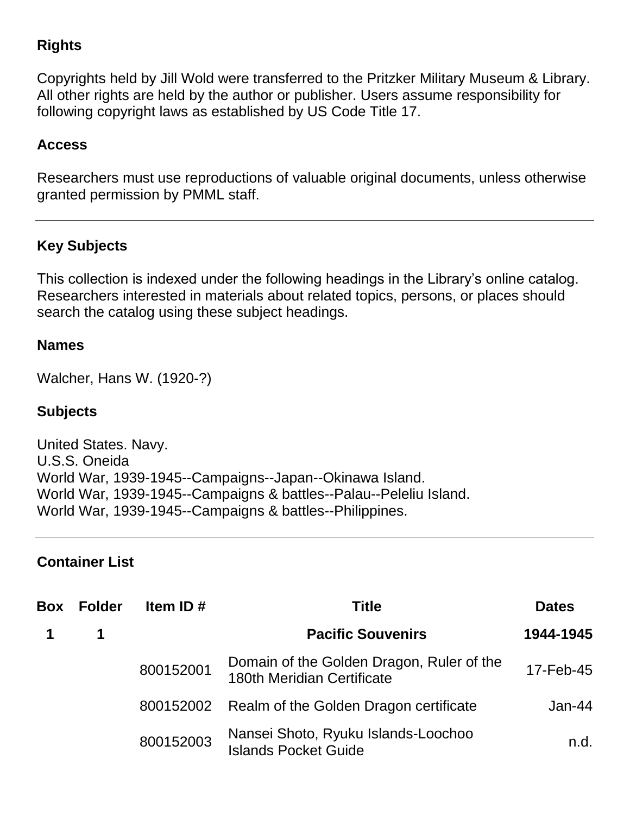# **Rights**

Copyrights held by Jill Wold were transferred to the Pritzker Military Museum & Library. All other rights are held by the author or publisher. Users assume responsibility for following copyright laws as established by US Code Title 17.

## **Access**

Researchers must use reproductions of valuable original documents, unless otherwise granted permission by PMML staff.

# **Key Subjects**

This collection is indexed under the following headings in the Library's online catalog. Researchers interested in materials about related topics, persons, or places should search the catalog using these subject headings.

#### **Names**

Walcher, Hans W. (1920-?)

### **Subjects**

United States. Navy. U.S.S. Oneida World War, 1939-1945--Campaigns--Japan--Okinawa Island. World War, 1939-1945--Campaigns & battles--Palau--Peleliu Island. World War, 1939-1945--Campaigns & battles--Philippines.

#### **Container List**

| Box | <b>Folder</b> | Item ID $#$ | <b>Title</b>                                                                   | <b>Dates</b> |
|-----|---------------|-------------|--------------------------------------------------------------------------------|--------------|
|     | 1             |             | <b>Pacific Souvenirs</b>                                                       | 1944-1945    |
|     |               | 800152001   | Domain of the Golden Dragon, Ruler of the<br><b>180th Meridian Certificate</b> | 17-Feb-45    |
|     |               | 800152002   | Realm of the Golden Dragon certificate                                         | $Jan-44$     |
|     |               | 800152003   | Nansei Shoto, Ryuku Islands-Loochoo<br><b>Islands Pocket Guide</b>             | n.d.         |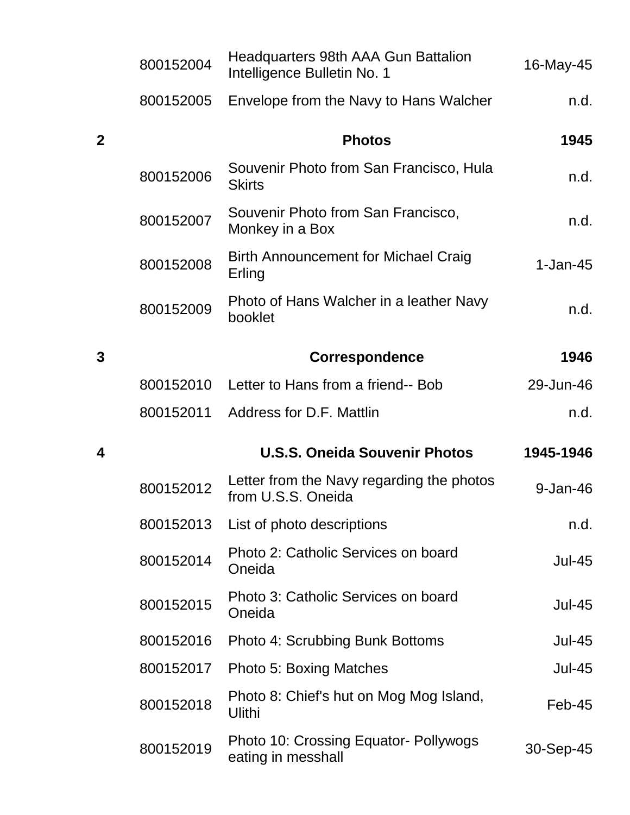|              | 800152004 | Headquarters 98th AAA Gun Battalion<br>Intelligence Bulletin No. 1 | 16-May-45     |
|--------------|-----------|--------------------------------------------------------------------|---------------|
|              | 800152005 | Envelope from the Navy to Hans Walcher                             | n.d.          |
| $\mathbf{2}$ |           | <b>Photos</b>                                                      | 1945          |
|              | 800152006 | Souvenir Photo from San Francisco, Hula<br><b>Skirts</b>           | n.d.          |
|              | 800152007 | Souvenir Photo from San Francisco,<br>Monkey in a Box              | n.d.          |
|              | 800152008 | <b>Birth Announcement for Michael Craig</b><br>Erling              | $1-Jan-45$    |
|              | 800152009 | Photo of Hans Walcher in a leather Navy<br>booklet                 | n.d.          |
| 3            |           | <b>Correspondence</b>                                              | 1946          |
|              | 800152010 | Letter to Hans from a friend-- Bob                                 | 29-Jun-46     |
|              | 800152011 | Address for D.F. Mattlin                                           | n.d.          |
|              |           |                                                                    |               |
| 4            |           | <b>U.S.S. Oneida Souvenir Photos</b>                               | 1945-1946     |
|              | 800152012 | Letter from the Navy regarding the photos<br>from U.S.S. Oneida    | $9 - Jan-46$  |
|              | 800152013 | List of photo descriptions                                         | n.d.          |
|              | 800152014 | Photo 2: Catholic Services on board<br>Oneida                      | <b>Jul-45</b> |
|              | 800152015 | Photo 3: Catholic Services on board<br>Oneida                      | <b>Jul-45</b> |
|              | 800152016 | Photo 4: Scrubbing Bunk Bottoms                                    | $Jul-45$      |
|              | 800152017 | <b>Photo 5: Boxing Matches</b>                                     | <b>Jul-45</b> |
|              | 800152018 | Photo 8: Chief's hut on Mog Mog Island,<br>Ulithi                  | $Feb-45$      |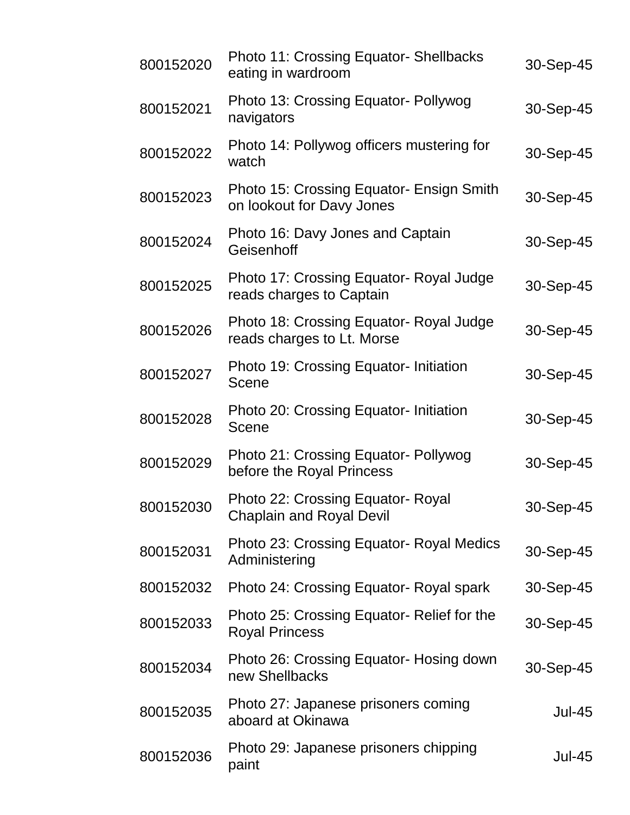| 800152020 | <b>Photo 11: Crossing Equator- Shellbacks</b><br>eating in wardroom   | 30-Sep-45     |
|-----------|-----------------------------------------------------------------------|---------------|
| 800152021 | Photo 13: Crossing Equator- Pollywog<br>navigators                    | 30-Sep-45     |
| 800152022 | Photo 14: Pollywog officers mustering for<br>watch                    | 30-Sep-45     |
| 800152023 | Photo 15: Crossing Equator- Ensign Smith<br>on lookout for Davy Jones | 30-Sep-45     |
| 800152024 | Photo 16: Davy Jones and Captain<br>Geisenhoff                        | 30-Sep-45     |
| 800152025 | Photo 17: Crossing Equator- Royal Judge<br>reads charges to Captain   | 30-Sep-45     |
| 800152026 | Photo 18: Crossing Equator- Royal Judge<br>reads charges to Lt. Morse | 30-Sep-45     |
| 800152027 | Photo 19: Crossing Equator- Initiation<br>Scene                       | 30-Sep-45     |
| 800152028 | Photo 20: Crossing Equator-Initiation<br>Scene                        | 30-Sep-45     |
| 800152029 | Photo 21: Crossing Equator- Pollywog<br>before the Royal Princess     | 30-Sep-45     |
| 800152030 | Photo 22: Crossing Equator- Royal<br><b>Chaplain and Royal Devil</b>  | 30-Sep-45     |
| 800152031 | <b>Photo 23: Crossing Equator- Royal Medics</b><br>Administering      | 30-Sep-45     |
| 800152032 | Photo 24: Crossing Equator- Royal spark                               | 30-Sep-45     |
| 800152033 | Photo 25: Crossing Equator- Relief for the<br><b>Royal Princess</b>   | 30-Sep-45     |
| 800152034 | Photo 26: Crossing Equator- Hosing down<br>new Shellbacks             | 30-Sep-45     |
| 800152035 | Photo 27: Japanese prisoners coming<br>aboard at Okinawa              | <b>Jul-45</b> |
| 800152036 | Photo 29: Japanese prisoners chipping<br>paint                        | <b>Jul-45</b> |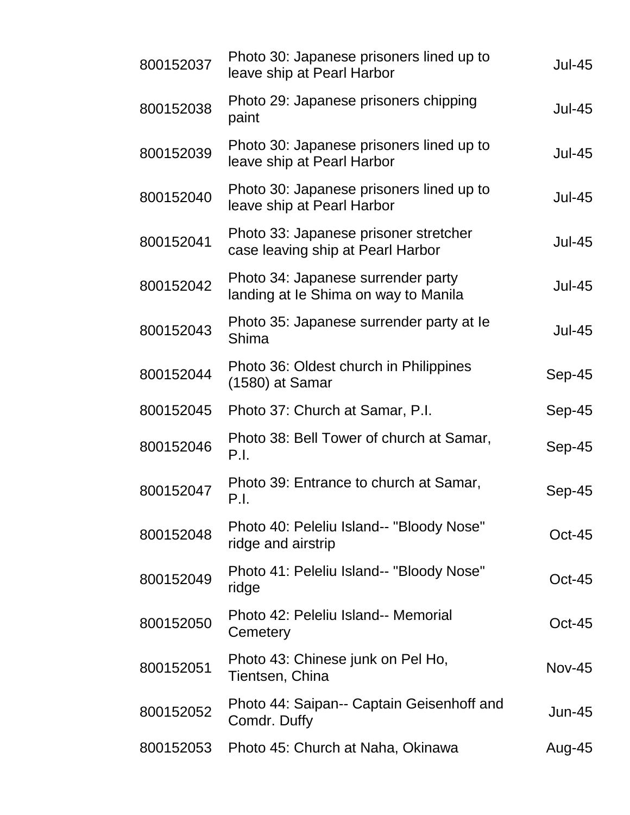| 800152037 | Photo 30: Japanese prisoners lined up to<br>leave ship at Pearl Harbor     | <b>Jul-45</b> |
|-----------|----------------------------------------------------------------------------|---------------|
| 800152038 | Photo 29: Japanese prisoners chipping<br>paint                             | <b>Jul-45</b> |
| 800152039 | Photo 30: Japanese prisoners lined up to<br>leave ship at Pearl Harbor     | <b>Jul-45</b> |
| 800152040 | Photo 30: Japanese prisoners lined up to<br>leave ship at Pearl Harbor     | <b>Jul-45</b> |
| 800152041 | Photo 33: Japanese prisoner stretcher<br>case leaving ship at Pearl Harbor | <b>Jul-45</b> |
| 800152042 | Photo 34: Japanese surrender party<br>landing at le Shima on way to Manila | <b>Jul-45</b> |
| 800152043 | Photo 35: Japanese surrender party at le<br>Shima                          | <b>Jul-45</b> |
| 800152044 | Photo 36: Oldest church in Philippines<br>$(1580)$ at Samar                | Sep-45        |
| 800152045 | Photo 37: Church at Samar, P.I.                                            | Sep-45        |
| 800152046 | Photo 38: Bell Tower of church at Samar,<br>P.I.                           | Sep-45        |
| 800152047 | Photo 39: Entrance to church at Samar,<br>P.I.                             | Sep-45        |
| 800152048 | Photo 40: Peleliu Island-- "Bloody Nose"<br>ridge and airstrip             | $Oct-45$      |
| 800152049 | Photo 41: Peleliu Island-- "Bloody Nose"<br>ridge                          | $Oct-45$      |
| 800152050 | Photo 42: Peleliu Island-- Memorial<br>Cemetery                            | $Oct-45$      |
| 800152051 | Photo 43: Chinese junk on Pel Ho,<br>Tientsen, China                       | <b>Nov-45</b> |
| 800152052 | Photo 44: Saipan-- Captain Geisenhoff and<br>Comdr. Duffy                  | $Jun-45$      |
| 800152053 | Photo 45: Church at Naha, Okinawa                                          | Aug-45        |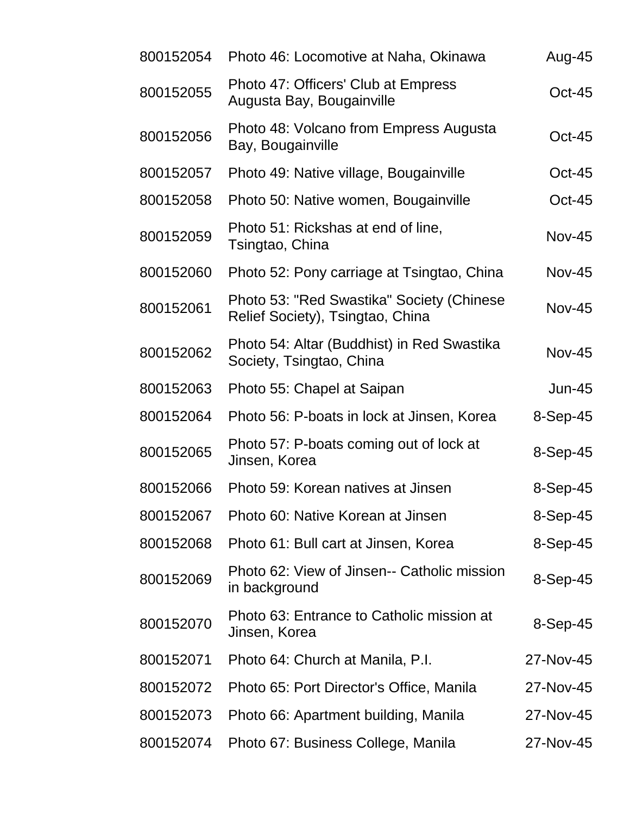| 800152054 | Photo 46: Locomotive at Naha, Okinawa                                         | Aug-45        |
|-----------|-------------------------------------------------------------------------------|---------------|
| 800152055 | Photo 47: Officers' Club at Empress<br>Augusta Bay, Bougainville              | $Oct-45$      |
| 800152056 | Photo 48: Volcano from Empress Augusta<br>Bay, Bougainville                   | <b>Oct-45</b> |
| 800152057 | Photo 49: Native village, Bougainville                                        | $Oct-45$      |
| 800152058 | Photo 50: Native women, Bougainville                                          | $Oct-45$      |
| 800152059 | Photo 51: Rickshas at end of line,<br>Tsingtao, China                         | <b>Nov-45</b> |
| 800152060 | Photo 52: Pony carriage at Tsingtao, China                                    | <b>Nov-45</b> |
| 800152061 | Photo 53: "Red Swastika" Society (Chinese<br>Relief Society), Tsingtao, China | <b>Nov-45</b> |
| 800152062 | Photo 54: Altar (Buddhist) in Red Swastika<br>Society, Tsingtao, China        | <b>Nov-45</b> |
| 800152063 | Photo 55: Chapel at Saipan                                                    | $Jun-45$      |
| 800152064 | Photo 56: P-boats in lock at Jinsen, Korea                                    | $8-Sep-45$    |
| 800152065 | Photo 57: P-boats coming out of lock at<br>Jinsen, Korea                      | 8-Sep-45      |
| 800152066 | Photo 59: Korean natives at Jinsen                                            | $8-Sep-45$    |
| 800152067 | Photo 60: Native Korean at Jinsen                                             | $8-Sep-45$    |
| 800152068 | Photo 61: Bull cart at Jinsen, Korea                                          | $8-Sep-45$    |
| 800152069 | Photo 62: View of Jinsen-- Catholic mission<br>in background                  | $8-Sep-45$    |
| 800152070 | Photo 63: Entrance to Catholic mission at<br>Jinsen, Korea                    | $8-Sep-45$    |
| 800152071 | Photo 64: Church at Manila, P.I.                                              | 27-Nov-45     |
| 800152072 | Photo 65: Port Director's Office, Manila                                      | 27-Nov-45     |
| 800152073 | Photo 66: Apartment building, Manila                                          | 27-Nov-45     |
| 800152074 | Photo 67: Business College, Manila                                            | 27-Nov-45     |